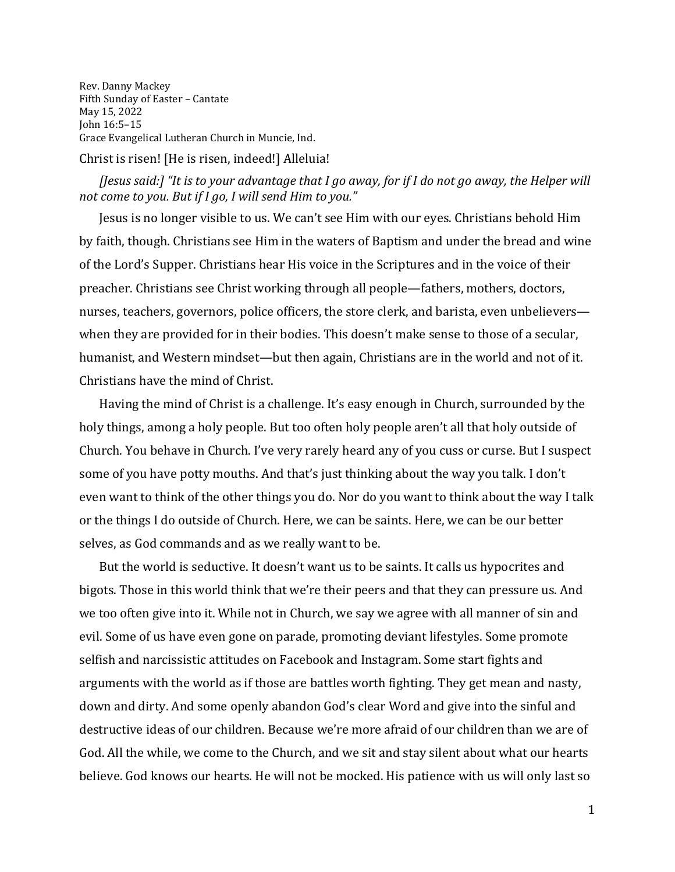Rev. Danny Mackey Fifth Sunday of Easter – Cantate May 15, 2022 John 16:5–15 Grace Evangelical Lutheran Church in Muncie, Ind.

Christ is risen! [He is risen, indeed!] Alleluia!

## *[Jesus said:] "It is to your advantage that I go away, for if I do not go away, the Helper will not come to you. But if I go, I will send Him to you."*

Jesus is no longer visible to us. We can't see Him with our eyes. Christians behold Him by faith, though. Christians see Him in the waters of Baptism and under the bread and wine of the Lord's Supper. Christians hear His voice in the Scriptures and in the voice of their preacher. Christians see Christ working through all people—fathers, mothers, doctors, nurses, teachers, governors, police officers, the store clerk, and barista, even unbelievers when they are provided for in their bodies. This doesn't make sense to those of a secular, humanist, and Western mindset—but then again, Christians are in the world and not of it. Christians have the mind of Christ.

Having the mind of Christ is a challenge. It's easy enough in Church, surrounded by the holy things, among a holy people. But too often holy people aren't all that holy outside of Church. You behave in Church. I've very rarely heard any of you cuss or curse. But I suspect some of you have potty mouths. And that's just thinking about the way you talk. I don't even want to think of the other things you do. Nor do you want to think about the way I talk or the things I do outside of Church. Here, we can be saints. Here, we can be our better selves, as God commands and as we really want to be.

But the world is seductive. It doesn't want us to be saints. It calls us hypocrites and bigots. Those in this world think that we're their peers and that they can pressure us. And we too often give into it. While not in Church, we say we agree with all manner of sin and evil. Some of us have even gone on parade, promoting deviant lifestyles. Some promote selfish and narcissistic attitudes on Facebook and Instagram. Some start fights and arguments with the world as if those are battles worth fighting. They get mean and nasty, down and dirty. And some openly abandon God's clear Word and give into the sinful and destructive ideas of our children. Because we're more afraid of our children than we are of God. All the while, we come to the Church, and we sit and stay silent about what our hearts believe. God knows our hearts. He will not be mocked. His patience with us will only last so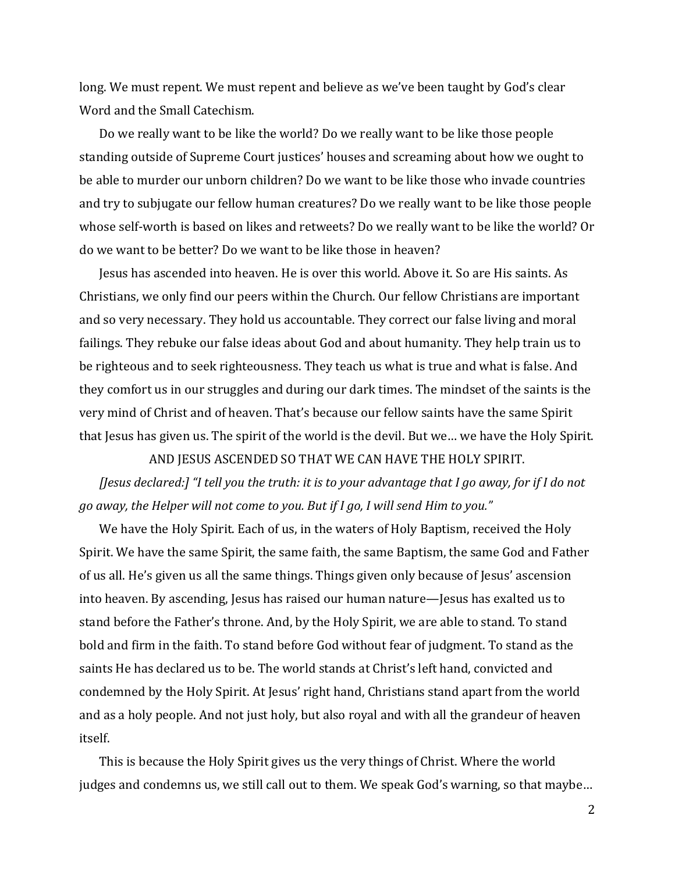long. We must repent. We must repent and believe as we've been taught by God's clear Word and the Small Catechism.

Do we really want to be like the world? Do we really want to be like those people standing outside of Supreme Court justices' houses and screaming about how we ought to be able to murder our unborn children? Do we want to be like those who invade countries and try to subjugate our fellow human creatures? Do we really want to be like those people whose self-worth is based on likes and retweets? Do we really want to be like the world? Or do we want to be better? Do we want to be like those in heaven?

Jesus has ascended into heaven. He is over this world. Above it. So are His saints. As Christians, we only find our peers within the Church. Our fellow Christians are important and so very necessary. They hold us accountable. They correct our false living and moral failings. They rebuke our false ideas about God and about humanity. They help train us to be righteous and to seek righteousness. They teach us what is true and what is false. And they comfort us in our struggles and during our dark times. The mindset of the saints is the very mind of Christ and of heaven. That's because our fellow saints have the same Spirit that Jesus has given us. The spirit of the world is the devil. But we… we have the Holy Spirit.

AND JESUS ASCENDED SO THAT WE CAN HAVE THE HOLY SPIRIT.

*[Jesus declared:] "I tell you the truth: it is to your advantage that I go away, for if I do not go away, the Helper will not come to you. But if I go, I will send Him to you."* 

We have the Holy Spirit. Each of us, in the waters of Holy Baptism, received the Holy Spirit. We have the same Spirit, the same faith, the same Baptism, the same God and Father of us all. He's given us all the same things. Things given only because of Jesus' ascension into heaven. By ascending, Jesus has raised our human nature—Jesus has exalted us to stand before the Father's throne. And, by the Holy Spirit, we are able to stand. To stand bold and firm in the faith. To stand before God without fear of judgment. To stand as the saints He has declared us to be. The world stands at Christ's left hand, convicted and condemned by the Holy Spirit. At Jesus' right hand, Christians stand apart from the world and as a holy people. And not just holy, but also royal and with all the grandeur of heaven itself.

This is because the Holy Spirit gives us the very things of Christ. Where the world judges and condemns us, we still call out to them. We speak God's warning, so that maybe...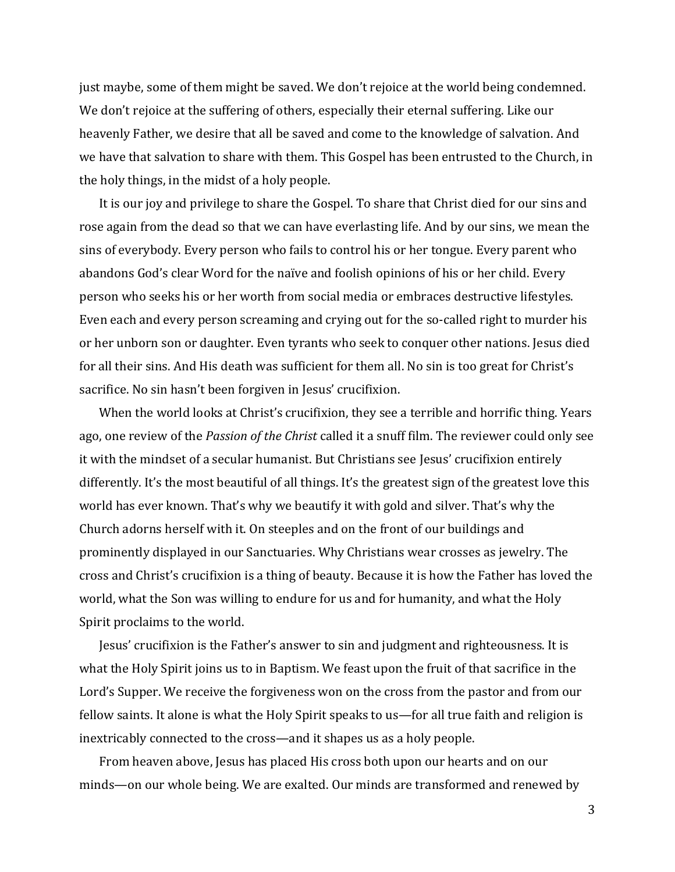just maybe, some of them might be saved. We don't rejoice at the world being condemned. We don't rejoice at the suffering of others, especially their eternal suffering. Like our heavenly Father, we desire that all be saved and come to the knowledge of salvation. And we have that salvation to share with them. This Gospel has been entrusted to the Church, in the holy things, in the midst of a holy people.

It is our joy and privilege to share the Gospel. To share that Christ died for our sins and rose again from the dead so that we can have everlasting life. And by our sins, we mean the sins of everybody. Every person who fails to control his or her tongue. Every parent who abandons God's clear Word for the naïve and foolish opinions of his or her child. Every person who seeks his or her worth from social media or embraces destructive lifestyles. Even each and every person screaming and crying out for the so-called right to murder his or her unborn son or daughter. Even tyrants who seek to conquer other nations. Jesus died for all their sins. And His death was sufficient for them all. No sin is too great for Christ's sacrifice. No sin hasn't been forgiven in Jesus' crucifixion.

When the world looks at Christ's crucifixion, they see a terrible and horrific thing. Years ago, one review of the *Passion of the Christ* called it a snuff film. The reviewer could only see it with the mindset of a secular humanist. But Christians see Jesus' crucifixion entirely differently. It's the most beautiful of all things. It's the greatest sign of the greatest love this world has ever known. That's why we beautify it with gold and silver. That's why the Church adorns herself with it. On steeples and on the front of our buildings and prominently displayed in our Sanctuaries. Why Christians wear crosses as jewelry. The cross and Christ's crucifixion is a thing of beauty. Because it is how the Father has loved the world, what the Son was willing to endure for us and for humanity, and what the Holy Spirit proclaims to the world.

Jesus' crucifixion is the Father's answer to sin and judgment and righteousness. It is what the Holy Spirit joins us to in Baptism. We feast upon the fruit of that sacrifice in the Lord's Supper. We receive the forgiveness won on the cross from the pastor and from our fellow saints. It alone is what the Holy Spirit speaks to us—for all true faith and religion is inextricably connected to the cross—and it shapes us as a holy people.

From heaven above, Jesus has placed His cross both upon our hearts and on our minds—on our whole being. We are exalted. Our minds are transformed and renewed by